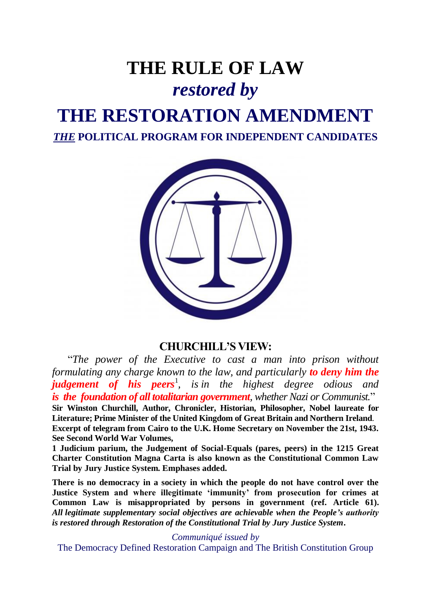# **THE RULE OF LAW** *restored by*  **THE RESTORATION AMENDMENT** *THE* **POLITICAL PROGRAM FOR INDEPENDENT CANDIDATES**



### **CHURCHILL'S VIEW:**

"*The power of the Executive to cast a man into prison without formulating any charge known to the law, and particularly to deny him the judgement of his peers*<sup>1</sup> *, is in the highest degree odious and is the foundation of all totalitarian government, whether Nazi or Communist.*" **Sir Winston Churchill, Author, Chronicler, Historian, Philosopher, Nobel laureate for** 

**Literature; Prime Minister of the United Kingdom of Great Britain and Northern Ireland**. **Excerpt of telegram from Cairo to the U.K. Home Secretary on November the 21st, 1943. See Second World War Volumes,**

**1 Judicium parium, the Judgement of Social-Equals (pares, peers) in the 1215 Great Charter Constitution Magna Carta is also known as the Constitutional Common Law Trial by Jury Justice System. Emphases added.**

**There is no democracy in a society in which the people do not have control over the Justice System and where illegitimate 'immunity' from prosecution for crimes at Common Law is misappropriated by persons in government (ref. Article 61).**  *All legitimate supplementary social objectives are achievable when the People's authority is restored through Restoration of the Constitutional Trial by Jury Justice System***.**

*Communiqué issued by*

The Democracy Defined Restoration Campaign and The British Constitution Group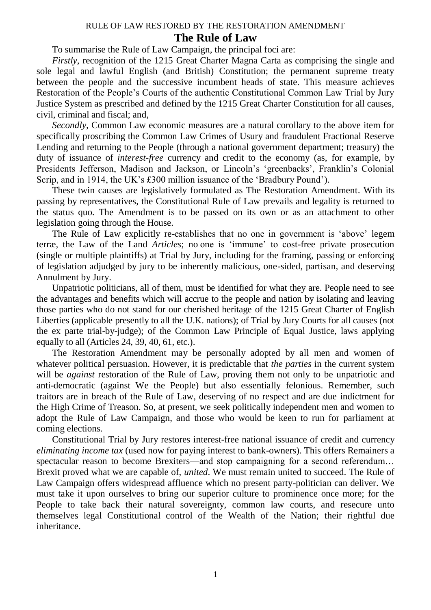#### RULE OF LAW RESTORED BY THE RESTORATION AMENDMENT

#### **The Rule of Law**

To summarise the Rule of Law Campaign, the principal foci are:

*Firstly*, recognition of the 1215 Great Charter Magna Carta as comprising the single and sole legal and lawful English (and British) Constitution; the permanent supreme treaty between the people and the successive incumbent heads of state. This measure achieves Restoration of the People's Courts of the authentic Constitutional Common Law Trial by Jury Justice System as prescribed and defined by the 1215 Great Charter Constitution for all causes, civil, criminal and fiscal; and,

*Secondly*, Common Law economic measures are a natural corollary to the above item for specifically proscribing the Common Law Crimes of Usury and fraudulent Fractional Reserve Lending and returning to the People (through a national government department; treasury) the duty of issuance of *interest-free* currency and credit to the economy (as, for example, by Presidents Jefferson, Madison and Jackson, or Lincoln's 'greenbacks', Franklin's Colonial Scrip, and in 1914, the UK's £300 million issuance of the 'Bradbury Pound').

These twin causes are legislatively formulated as The Restoration Amendment. With its passing by representatives, the Constitutional Rule of Law prevails and legality is returned to the status quo. The Amendment is to be passed on its own or as an attachment to other legislation going through the House.

The Rule of Law explicitly re-establishes that no one in government is 'above' legem terræ, the Law of the Land *Articles*; no one is 'immune' to cost-free private prosecution (single or multiple plaintiffs) at Trial by Jury, including for the framing, passing or enforcing of legislation adjudged by jury to be inherently malicious, one-sided, partisan, and deserving Annulment by Jury.

Unpatriotic politicians, all of them, must be identified for what they are. People need to see the advantages and benefits which will accrue to the people and nation by isolating and leaving those parties who do not stand for our cherished heritage of the 1215 Great Charter of English Liberties (applicable presently to all the U.K. nations); of Trial by Jury Courts for all causes (not the ex parte trial-by-judge); of the Common Law Principle of Equal Justice, laws applying equally to all (Articles 24, 39, 40, 61, etc.).

The Restoration Amendment may be personally adopted by all men and women of whatever political persuasion. However, it is predictable that *the parties* in the current system will be *against* restoration of the Rule of Law, proving them not only to be unpatriotic and anti-democratic (against We the People) but also essentially felonious. Remember, such traitors are in breach of the Rule of Law, deserving of no respect and are due indictment for the High Crime of Treason. So, at present, we seek politically independent men and women to adopt the Rule of Law Campaign, and those who would be keen to run for parliament at coming elections.

Constitutional Trial by Jury restores interest-free national issuance of credit and currency *eliminating income tax* (used now for paying interest to bank-owners). This offers Remainers a spectacular reason to become Brexiters—and stop campaigning for a second referendum… Brexit proved what we are capable of, *united*. We must remain united to succeed. The Rule of Law Campaign offers widespread affluence which no present party-politician can deliver. We must take it upon ourselves to bring our superior culture to prominence once more; for the People to take back their natural sovereignty, common law courts, and resecure unto themselves legal Constitutional control of the Wealth of the Nation; their rightful due inheritance.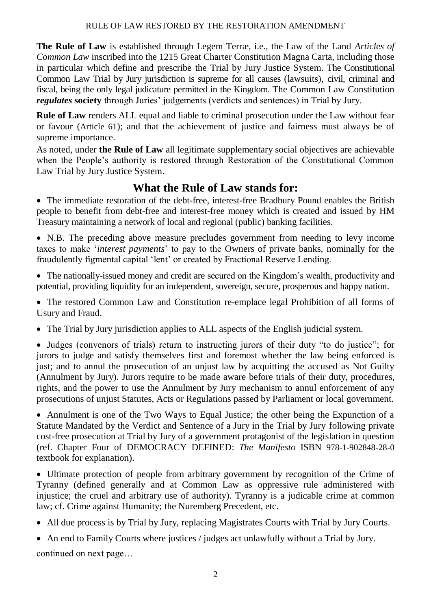#### RULE OF LAW RESTORED BY THE RESTORATION AMENDMENT

**The Rule of Law** is established through Legem Terræ, i.e., the Law of the Land *Articles of Common Law* inscribed into the 1215 Great Charter Constitution Magna Carta, including those in particular which define and prescribe the Trial by Jury Justice System. The Constitutional Common Law Trial by Jury jurisdiction is supreme for all causes (lawsuits), civil, criminal and fiscal, being the only legal judicature permitted in the Kingdom. The Common Law Constitution *regulates* **society** through Juries' judgements (verdicts and sentences) in Trial by Jury.

**Rule of Law** renders ALL equal and liable to criminal prosecution under the Law without fear or favour (Article 61); and that the achievement of justice and fairness must always be of supreme importance.

As noted, under **the Rule of Law** all legitimate supplementary social objectives are achievable when the People's authority is restored through Restoration of the Constitutional Common Law Trial by Jury Justice System.

## **What the Rule of Law stands for:**

 The immediate restoration of the debt-free, interest-free Bradbury Pound enables the British people to benefit from debt-free and interest-free money which is created and issued by HM Treasury maintaining a network of local and regional (public) banking facilities.

 N.B. The preceding above measure precludes government from needing to levy income taxes to make '*interest payments*' to pay to the Owners of private banks, nominally for the fraudulently figmental capital 'lent' or created by Fractional Reserve Lending.

 The nationally-issued money and credit are secured on the Kingdom's wealth, productivity and potential, providing liquidity for an independent, sovereign, secure, prosperous and happy nation.

 The restored Common Law and Constitution re-emplace legal Prohibition of all forms of Usury and Fraud.

The Trial by Jury jurisdiction applies to ALL aspects of the English judicial system.

 Judges (convenors of trials) return to instructing jurors of their duty "to do justice"; for jurors to judge and satisfy themselves first and foremost whether the law being enforced is just; and to annul the prosecution of an unjust law by acquitting the accused as Not Guilty (Annulment by Jury). Jurors require to be made aware before trials of their duty, procedures, rights, and the power to use the Annulment by Jury mechanism to annul enforcement of any prosecutions of unjust Statutes, Acts or Regulations passed by Parliament or local government.

 Annulment is one of the Two Ways to Equal Justice; the other being the Expunction of a Statute Mandated by the Verdict and Sentence of a Jury in the Trial by Jury following private cost-free prosecution at Trial by Jury of a government protagonist of the legislation in question (ref. Chapter Four of DEMOCRACY DEFINED: *The Manifesto* ISBN 978-1-902848-28-0 textbook for explanation).

 Ultimate protection of people from arbitrary government by recognition of the Crime of Tyranny (defined generally and at Common Law as oppressive rule administered with injustice; the cruel and arbitrary use of authority). Tyranny is a judicable crime at common law; cf. Crime against Humanity; the Nuremberg Precedent, etc.

All due process is by Trial by Jury, replacing Magistrates Courts with Trial by Jury Courts.

 An end to Family Courts where justices / judges act unlawfully without a Trial by Jury. continued on next page…